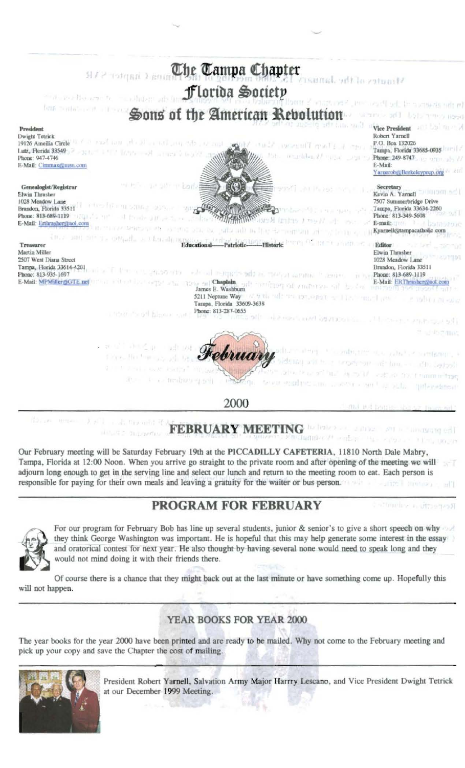

Our February meeting will be Saturday February 19th at the PICCADILLY CAFETERIA, 11810 North Dale Mabry, Tampa, Florida at 12:00 Noon. When you arrive go straight to the private room and after opening of the meeting we will adjourn long enough to get in the serving line and select our lunch and return to the meeting room to eat. Each person is responsible for paying for their own meals and leaving a gratuity for the waiter or bus person.

## **PROGRAM FOR FEBRUARY**

attmeles a director



For our program for February Bob has line up several students, junior & senior's to give a short speech on why they think George Washington was important. He is hopeful that this may help generate some interest in the essay and oratorical contest for next year. He also thought by having several none would need to speak long and they would not mind doing it with their friends there.

Of course there is a chance that they might back out at the last minute or have something come up. Hopefully this will not happen.

## **YEAR BOOKS FOR YEAR 2000**

The year books for the year 2000 have been printed and are ready to be mailed. Why not come to the February meeting and pick up your copy and save the Chapter the cost of mailing.



President Robert Yarnell, Salvation Army Major Harrry Lescano, and Vice President Dwight Tetrick at our December 1999 Meeting.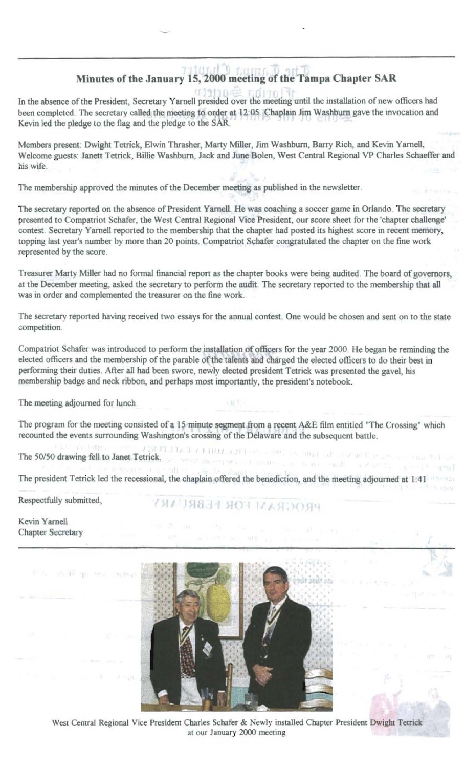## The Gamma Chapter Minutes of the January 15, 2000 meeting of the Tampa Chapter SAR

In the absence of the President, Secretary Yarnell presided over the meeting until the installation of new officers had been completed. The secretary called the meeting to order at 12:05. Chaplain Jim Washburn gave the invocation and Kevin led the pledge to the flag and the pledge to the SAR.

Members present: Dwight Tetrick, Elwin Thrasher, Marty Miller, Jim Washburn, Barry Rich, and Kevin Yarnell, Welcome guests: Janett Tetrick, Billie Washburn, Jack and June Bolen, West Central Regional VP Charles Schaeffer and his wife.

The membership approved the minutes of the December meeting as published in the newsletter.

The secretary reported on the absence of President Yarnell. He was coaching a soccer game in Orlando. The secretary presented to Compatriot Schafer, the West Central Regional Vice President, our score sheet for the 'chapter challenge' contest. Secretary Yarnell reported to the membership that the chapter had posted its highest score in recent memory, topping last year's number by more than 20 points. Compatriot Schafer congratulated the chapter on the fine work represented by the score.

Treasurer Marty Miller had no formal financial report as the chapter books were being audited. The board of governors, at the December meeting, asked the secretary to perform the audit. The secretary reported to the membership that all was in order and complemented the treasurer on the fine work.

The secretary reported having received two essays for the annual contest. One would be chosen and sent on to the state competition.

Compatriot Schafer was introduced to perform the installation of officers for the year 2000. He began be reminding the elected officers and the membership of the parable of the talents and charged the elected officers to do their best in performing their duties. After all had been swore, newly elected president Tetrick was presented the gavel, his membership badge and neck ribbon, and perhaps most importantly, the president's notebook.

The meeting adjourned for lunch.

The program for the meeting consisted of a 15 minute segment from a recent A&E film entitled "The Crossing" which recounted the events surrounding Washington's crossing of the Delaware and the subsequent battle.

A BENT A LOCAL CONTRACTORS IN the End of Castles and Castles Contractors and The 50/50 drawing fell to Janet Tetrick. The contract of the contract of the contract of the second temperature

The president Tetrick led the recessional, the chaplain offered the benediction, and the meeting adjourned at 1:41

Respectfully submitted,

华元 动球单面

PROGRAM FOR FEBRUARY

Kevin Yarnell **Chapter Secretary** 



West Central Regional Vice President Charles Schafer & Newly installed Chapter President Dwight Tetrick at our January 2000 meeting